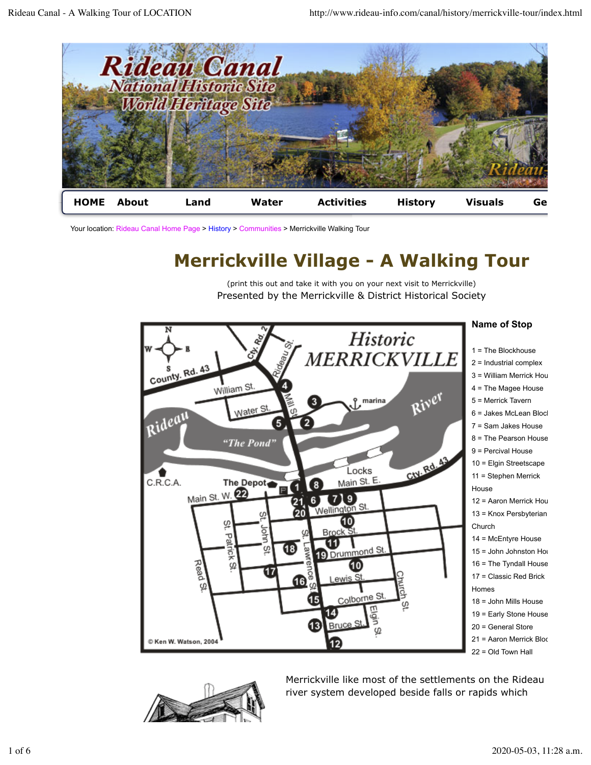

Your location: Rideau Canal Home Page > History > Communities > Merrickville Walking Tour

# **Merrickville Village - A Walking Tour**

(print this out and take it with you on your next visit to Merrickville) Presented by the Merrickville & District Historical Society





Merrickville like most of the settlements on the Rideau river system developed beside falls or rapids which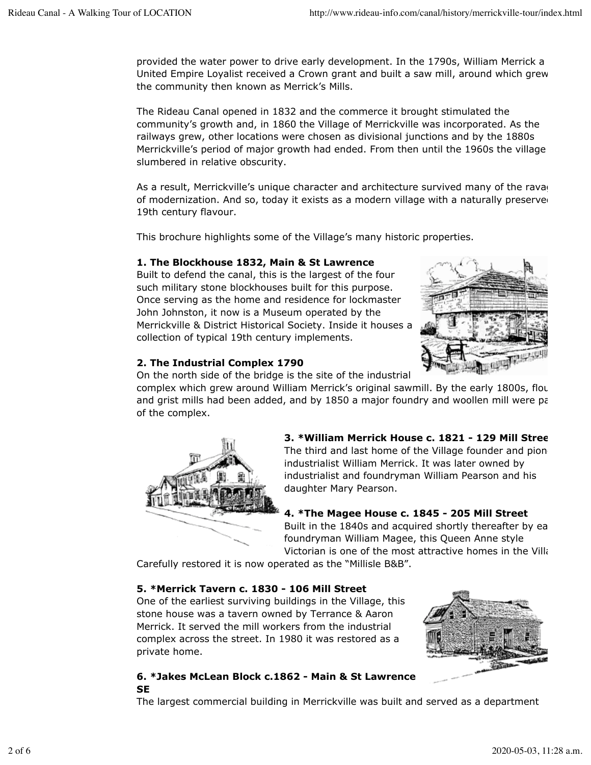provided the water power to drive early development. In the 1790s, William Merrick a United Empire Loyalist received a Crown grant and built a saw mill, around which grew the community then known as Merrick's Mills.

The Rideau Canal opened in 1832 and the commerce it brought stimulated the community's growth and, in 1860 the Village of Merrickville was incorporated. As the railways grew, other locations were chosen as divisional junctions and by the 1880s Merrickville's period of major growth had ended. From then until the 1960s the village slumbered in relative obscurity.

As a result, Merrickville's unique character and architecture survived many of the ravage of modernization. And so, today it exists as a modern village with a naturally preserved 19th century flavour.

This brochure highlights some of the Village's many historic properties.

#### **1. The Blockhouse 1832, Main & St Lawrence**

Built to defend the canal, this is the largest of the four such military stone blockhouses built for this purpose. Once serving as the home and residence for lockmaster John Johnston, it now is a Museum operated by the Merrickville & District Historical Society. Inside it houses a collection of typical 19th century implements.



### **2. The Industrial Complex 1790**

On the north side of the bridge is the site of the industrial

complex which grew around William Merrick's original sawmill. By the early 1800s, flou and grist mills had been added, and by  $1850$  a major foundry and woollen mill were parties. of the complex.



**3. \*William Merrick House c. 1821 - 129 Mill Street** The third and last home of the Village founder and pione industrialist William Merrick. It was later owned by industrialist and foundryman William Pearson and his daughter Mary Pearson.

### **4. \*The Magee House c. 1845 - 205 Mill Street**

Built in the 1840s and acquired shortly thereafter by ea foundryman William Magee, this Queen Anne style Victorian is one of the most attractive homes in the Village

Carefully restored it is now operated as the "Millisle B&B".

### **5. \*Merrick Tavern c. 1830 - 106 Mill Street**

One of the earliest surviving buildings in the Village, this stone house was a tavern owned by Terrance & Aaron Merrick. It served the mill workers from the industrial complex across the street. In 1980 it was restored as a private home.



### **6. \*Jakes McLean Block c.1862 - Main & St Lawrence SE**

The largest commercial building in Merrickville was built and served as a department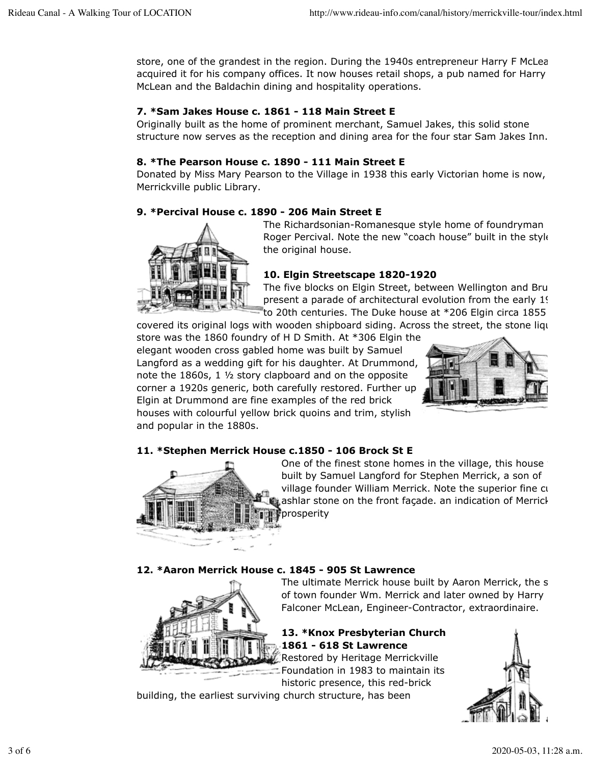store, one of the grandest in the region. During the 1940s entrepreneur Harry F McLea acquired it for his company offices. It now houses retail shops, a pub named for Harry McLean and the Baldachin dining and hospitality operations.

# **7. \*Sam Jakes House c. 1861 - 118 Main Street E**

Originally built as the home of prominent merchant, Samuel Jakes, this solid stone structure now serves as the reception and dining area for the four star Sam Jakes Inn.

# **8. \*The Pearson House c. 1890 - 111 Main Street E**

Donated by Miss Mary Pearson to the Village in 1938 this early Victorian home is now, Merrickville public Library.

# **9. \*Percival House c. 1890 - 206 Main Street E**



The Richardsonian-Romanesque style home of foundryman Roger Percival. Note the new "coach house" built in the style the original house.

# **10. Elgin Streetscape 1820-1920**

The five blocks on Elgin Street, between Wellington and Bru present a parade of architectural evolution from the early 19th to 20th centuries. The Duke house at  $*$ 206 Elgin circa 1855

covered its original logs with wooden shipboard siding. Across the street, the stone liquor store was the 1860 foundry of H D Smith. At \*306 Elgin the elegant wooden cross gabled home was built by Samuel Langford as a wedding gift for his daughter. At Drummond, note the 1860s, 1 ½ story clapboard and on the opposite corner a 1920s generic, both carefully restored. Further up Elgin at Drummond are fine examples of the red brick houses with colourful yellow brick quoins and trim, stylish and popular in the 1880s.



### **11. \*Stephen Merrick House c.1850 - 106 Brock St E**



One of the finest stone homes in the village, this house built by Samuel Langford for Stephen Merrick, a son of village founder William Merrick. Note the superior fine cut ashlar stone on the front façade. an indication of Merrick prosperity

### **12. \*Aaron Merrick House c. 1845 - 905 St Lawrence**



The ultimate Merrick house built by Aaron Merrick, the s of town founder Wm. Merrick and later owned by Harry Falconer McLean, Engineer-Contractor, extraordinaire.

# **13. \*Knox Presbyterian Church 1861 - 618 St Lawrence**

Restored by Heritage Merrickville Foundation in 1983 to maintain its historic presence, this red-brick

building, the earliest surviving church structure, has been

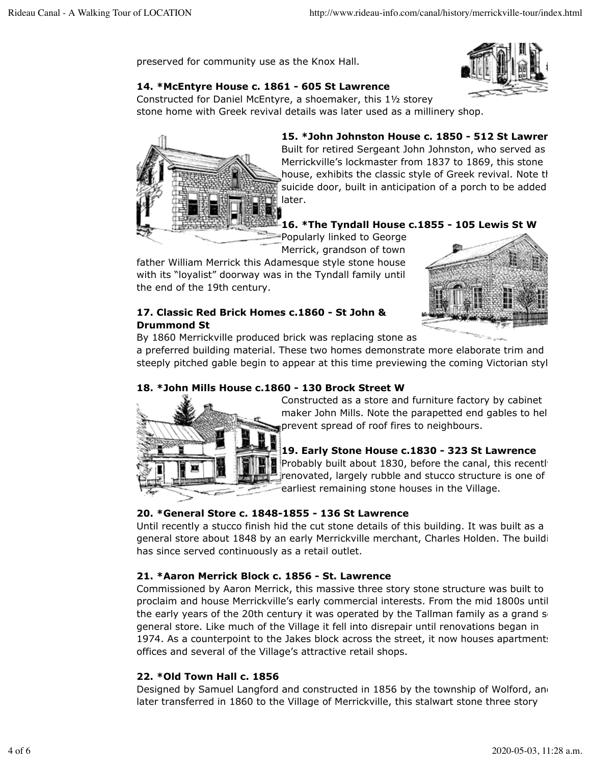preserved for community use as the Knox Hall.

# **14. \*McEntyre House c. 1861 - 605 St Lawrence**

Constructed for Daniel McEntyre, a shoemaker, this 1½ storey stone home with Greek revival details was later used as a millinery shop.



15. \*John Johnston House c. 1850 - 512 St Lawren Built for retired Sergeant John Johnston, who served as Merrickville's lockmaster from 1837 to 1869, this stone house, exhibits the classic style of Greek revival. Note the suicide door, built in anticipation of a porch to be added later.

### **16. \*The Tyndall House c.1855 - 105 Lewis St W**

Popularly linked to George Merrick, grandson of town

father William Merrick this Adamesque style stone house with its "loyalist" doorway was in the Tyndall family until the end of the 19th century.



### **17. Classic Red Brick Homes c.1860 - St John & Drummond St**

By 1860 Merrickville produced brick was replacing stone as

a preferred building material. These two homes demonstrate more elaborate trim and steeply pitched gable begin to appear at this time previewing the coming Victorian styl

## **18. \*John Mills House c.1860 - 130 Brock Street W**



Constructed as a store and furniture factory by cabinet maker John Mills. Note the parapetted end gables to hel prevent spread of roof fires to neighbours.

## **19. Early Stone House c.1830 - 323 St Lawrence**

Probably built about 1830, before the canal, this recently renovated, largely rubble and stucco structure is one of earliest remaining stone houses in the Village.

## **20. \*General Store c. 1848-1855 - 136 St Lawrence**

Until recently a stucco finish hid the cut stone details of this building. It was built as a general store about 1848 by an early Merrickville merchant, Charles Holden. The buildi has since served continuously as a retail outlet.

### **21. \*Aaron Merrick Block c. 1856 - St. Lawrence**

Commissioned by Aaron Merrick, this massive three story stone structure was built to proclaim and house Merrickville's early commercial interests. From the mid 1800s until the early years of the 20th century it was operated by the Tallman family as a grand  $s<sub>i</sub>$ general store. Like much of the Village it fell into disrepair until renovations began in 1974. As a counterpoint to the Jakes block across the street, it now houses apartments offices and several of the Village's attractive retail shops.

### **22. \*Old Town Hall c. 1856**

Designed by Samuel Langford and constructed in 1856 by the township of Wolford, and later transferred in 1860 to the Village of Merrickville, this stalwart stone three story